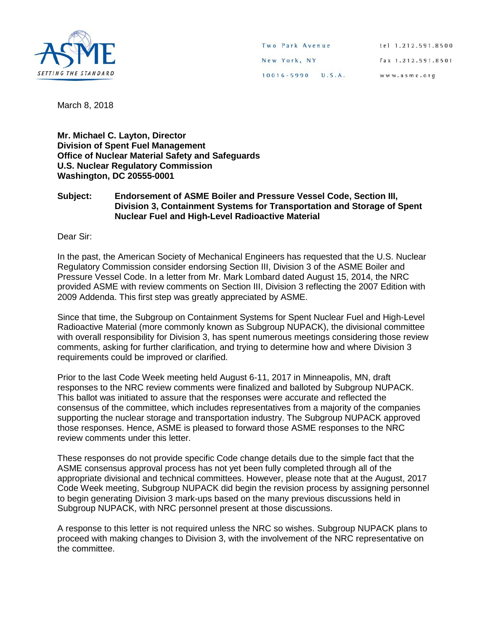

March 8, 2018

**Mr. Michael C. Layton, Director Division of Spent Fuel Management Office of Nuclear Material Safety and Safeguards U.S. Nuclear Regulatory Commission Washington, DC 20555-0001**

## **Subject: Endorsement of ASME Boiler and Pressure Vessel Code, Section III, Division 3, Containment Systems for Transportation and Storage of Spent Nuclear Fuel and High-Level Radioactive Material**

Dear Sir:

In the past, the American Society of Mechanical Engineers has requested that the U.S. Nuclear Regulatory Commission consider endorsing Section III, Division 3 of the ASME Boiler and Pressure Vessel Code. In a letter from Mr. Mark Lombard dated August 15, 2014, the NRC provided ASME with review comments on Section III, Division 3 reflecting the 2007 Edition with 2009 Addenda. This first step was greatly appreciated by ASME.

Since that time, the Subgroup on Containment Systems for Spent Nuclear Fuel and High-Level Radioactive Material (more commonly known as Subgroup NUPACK), the divisional committee with overall responsibility for Division 3, has spent numerous meetings considering those review comments, asking for further clarification, and trying to determine how and where Division 3 requirements could be improved or clarified.

Prior to the last Code Week meeting held August 6-11, 2017 in Minneapolis, MN, draft responses to the NRC review comments were finalized and balloted by Subgroup NUPACK. This ballot was initiated to assure that the responses were accurate and reflected the consensus of the committee, which includes representatives from a majority of the companies supporting the nuclear storage and transportation industry. The Subgroup NUPACK approved those responses. Hence, ASME is pleased to forward those ASME responses to the NRC review comments under this letter.

These responses do not provide specific Code change details due to the simple fact that the ASME consensus approval process has not yet been fully completed through all of the appropriate divisional and technical committees. However, please note that at the August, 2017 Code Week meeting, Subgroup NUPACK did begin the revision process by assigning personnel to begin generating Division 3 mark-ups based on the many previous discussions held in Subgroup NUPACK, with NRC personnel present at those discussions.

A response to this letter is not required unless the NRC so wishes. Subgroup NUPACK plans to proceed with making changes to Division 3, with the involvement of the NRC representative on the committee.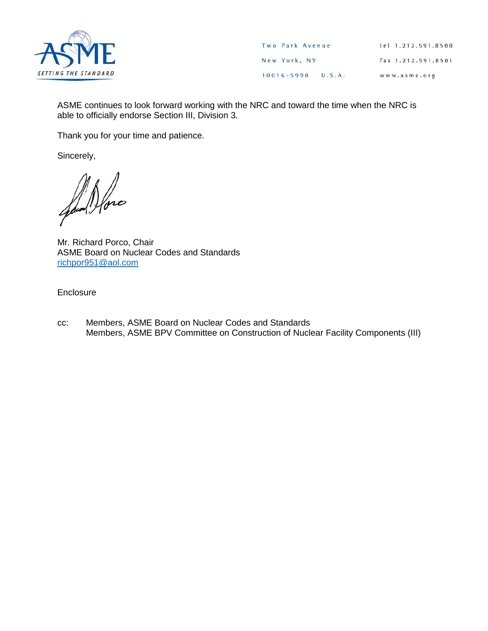

ASME continues to look forward working with the NRC and toward the time when the NRC is able to officially endorse Section III, Division 3.

Thank you for your time and patience.

Sincerely,

Jan Hore

Mr. Richard Porco, Chair ASME Board on Nuclear Codes and Standards [richpor951@aol.com](mailto:richpor951@aol.com)

**Enclosure** 

cc: Members, ASME Board on Nuclear Codes and Standards Members, ASME BPV Committee on Construction of Nuclear Facility Components (III)